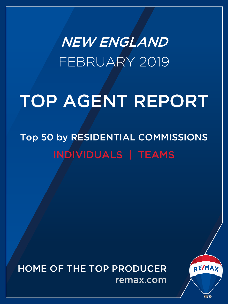<span id="page-0-0"></span>NEW ENGLAND FEBRUARY 2019

# TOP AGENT REPORT

## Top 50 by RESIDENTIAL COMMISSIONS [INDIVIDUALS](#page-1-0) | [TEAMS](#page-3-0)

HOME OF THE TOP PRODUCER remax.com

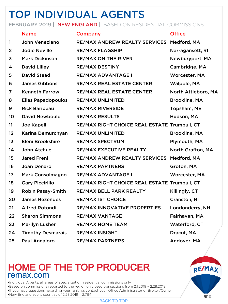## <span id="page-1-0"></span>TOP INDIVIDUAL AGENTS

#### FEBRUARY 2019 | NEW ENGLAND | BASED ON RESIDENTIAL COMMISSIONS

|                | <b>Name</b>               | Company                                      | <b>Office</b>        |
|----------------|---------------------------|----------------------------------------------|----------------------|
| 1              | <b>John Veneziano</b>     | RE/MAX ANDREW REALTY SERVICES                | Medford, MA          |
| $\overline{2}$ | <b>Jodie Neville</b>      | <b>RE/MAX FLAGSHIP</b>                       | Narragansett, RI     |
| 3              | <b>Mark Dickinson</b>     | <b>RE/MAX ON THE RIVER</b>                   | Newburyport, MA      |
| 4              | <b>David Lilley</b>       | <b>RE/MAX DESTINY</b>                        | Cambridge, MA        |
| 5              | <b>David Stead</b>        | RE/MAX ADVANTAGE I                           | Worcester, MA        |
| 6              | <b>James Gibbons</b>      | <b>RE/MAX REAL ESTATE CENTER</b>             | Walpole, MA          |
| 7              | <b>Kenneth Farrow</b>     | <b>RE/MAX REAL ESTATE CENTER</b>             | North Attleboro, MA  |
| 8              | <b>Elias Papadopoulos</b> | <b>RE/MAX UNLIMITED</b>                      | <b>Brookline, MA</b> |
| 9              | <b>Rick Baribeau</b>      | <b>RE/MAX RIVERSIDE</b>                      | Topsham, ME          |
| 10             | <b>David Newbould</b>     | <b>RE/MAX RESULTS</b>                        | Hudson, MA           |
| 11             | <b>Joe Kapell</b>         | RE/MAX RIGHT CHOICE REAL ESTATE Trumbull, CT |                      |
| 12             | Karina Demurchyan         | <b>RE/MAX UNLIMITED</b>                      | <b>Brookline, MA</b> |
| 13             | Eleni Brookshire          | <b>RE/MAX SPECTRUM</b>                       | Plymouth, MA         |
| 14             | John Atchue               | <b>RE/MAX EXECUTIVE REALTY</b>               | North Grafton, MA    |
| 15             | <b>Jared Freni</b>        | <b>RE/MAX ANDREW REALTY SERVICES</b>         | Medford, MA          |
| 16             | <b>Joan Denaro</b>        | <b>RE/MAX PARTNERS</b>                       | Groton, MA           |
| 17             | <b>Mark Consolmagno</b>   | RE/MAX ADVANTAGE I                           | Worcester, MA        |
| 18             | <b>Gary Piccirillo</b>    | RE/MAX RIGHT CHOICE REAL ESTATE Trumbull, CT |                      |
| 19             | <b>Robin Pasay-Smith</b>  | RE/MAX BELL PARK REALTY                      | Killingly, CT        |
| 20             | <b>James Rezendes</b>     | <b>RE/MAX 1ST CHOICE</b>                     | Cranston, RI         |
| 21             | <b>Alfred Rotondi</b>     | RE/MAX INNOVATIVE PROPERTIES                 | Londonderry, NH      |
| 22             | <b>Sharon Simmons</b>     | <b>RE/MAX VANTAGE</b>                        | Fairhaven, MA        |
| 23             | <b>Marilyn Lusher</b>     | <b>RE/MAX HOME TEAM</b>                      | Waterford, CT        |
| 24             | <b>Timothy Desmarais</b>  | <b>RE/MAX INSIGHT</b>                        | Dracut, MA           |
| 25             | <b>Paul Annaloro</b>      | <b>RE/MAX PARTNERS</b>                       | Andover, MA          |

### HOME OF THE TOP PRODUCER remax.com

•Individual Agents, all areas of specialization, residential commissions only •Based on commissions reported to the region on closed transactions from 2.1.2019 – 2.28.2019

•If you have questions regarding your ranking, contact your Office Administrator or Broker/Owner

•New England agent count as of 2.28.2019 = 2,764



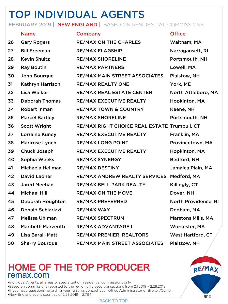## TOP INDIVIDUAL AGENTS

#### FEBRUARY 2019 | NEW ENGLAND | BASED ON RESIDENTIAL COMMISSIONS

|    | <b>Name</b>               | Company                                      | <b>Office</b>             |
|----|---------------------------|----------------------------------------------|---------------------------|
| 26 | <b>Gary Rogers</b>        | <b>RE/MAX ON THE CHARLES</b>                 | Waltham, MA               |
| 27 | <b>Bill Freeman</b>       | <b>RE/MAX FLAGSHIP</b>                       | Narragansett, RI          |
| 28 | <b>Kevin Shultz</b>       | <b>RE/MAX SHORELINE</b>                      | Portsmouth, NH            |
| 29 | <b>Ray Boutin</b>         | <b>RE/MAX PARTNERS</b>                       | Lowell, MA                |
| 30 | John Bourque              | <b>RE/MAX MAIN STREET ASSOCIATES</b>         | Plaistow, NH              |
| 31 | Kathryn Harrison          | <b>RE/MAX REALTY ONE</b>                     | York, ME                  |
| 32 | <b>Lisa Walker</b>        | <b>RE/MAX REAL ESTATE CENTER</b>             | North Attleboro, MA       |
| 33 | <b>Deborah Thomas</b>     | RE/MAX EXECUTIVE REALTY                      | Hopkinton, MA             |
| 34 | <b>Robert Inman</b>       | <b>RE/MAX TOWN &amp; COUNTRY</b>             | Keene, NH                 |
| 35 | <b>Marcel Bartley</b>     | <b>RE/MAX SHORELINE</b>                      | Portsmouth, NH            |
| 36 | <b>Scott Wright</b>       | RE/MAX RIGHT CHOICE REAL ESTATE Trumbull, CT |                           |
| 37 | <b>Lorraine Kuney</b>     | RE/MAX EXECUTIVE REALTY                      | Franklin, MA              |
| 38 | Marirose Lynch            | <b>RE/MAX LONG POINT</b>                     | Provincetown, MA          |
| 39 | Chuck Joseph              | RE/MAX EXECUTIVE REALTY                      | Hopkinton, MA             |
| 40 | Sophia Weeks              | <b>RE/MAX SYNERGY</b>                        | Bedford, NH               |
| 41 | Michaela Hellman          | <b>RE/MAX DESTINY</b>                        | Jamaica Plain, MA         |
| 42 | <b>David Ladner</b>       | <b>RE/MAX ANDREW REALTY SERVICES</b>         | Medford, MA               |
| 43 | <b>Jared Meehan</b>       | <b>RE/MAX BELL PARK REALTY</b>               | Killingly, CT             |
| 44 | <b>Michael Hill</b>       | <b>RE/MAX ON THE MOVE</b>                    | Dover, NH                 |
| 45 | <b>Deborah Houghton</b>   | <b>RE/MAX PREFERRED</b>                      | North Providence, RI      |
| 46 | <b>Donald Schiarizzi</b>  | <b>RE/MAX WAY</b>                            | Dedham, MA                |
| 47 | <b>Melissa Uhlman</b>     | <b>RE/MAX SPECTRUM</b>                       | <b>Marstons Mills, MA</b> |
| 48 | <b>Maribeth Marzeotti</b> | RE/MAX ADVANTAGE I                           | Worcester, MA             |
| 49 | <b>Lisa Barall-Matt</b>   | <b>RE/MAX PREMIER, REALTORS</b>              | <b>West Hartford, CT</b>  |
| 50 | <b>Sherry Bourque</b>     | RE/MAX MAIN STREET ASSOCIATES                | Plaistow, NH              |

### HOME OF THE TOP PRODUCER remax.com

•Individual Agents, all areas of specialization, residential commissions only •Based on commissions reported to the region on closed transactions from 2.1.2019 – 2.28.2019

•If you have questions regarding your ranking, contact your Office Administrator or Broker/Owner

•New England agent count as of 2.28.2019 = 2,764



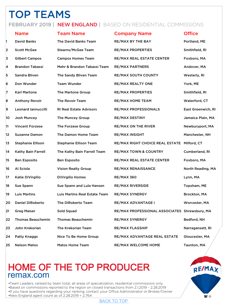## <span id="page-3-0"></span>TOP TEAMS

#### FEBRUARY 2019 | NEW ENGLAND | BASED ON RESIDENTIAL COMMISSIONS

|    | <b>Name</b>                | <b>Team Name</b>                     | <b>Company Name</b>                           | <b>Office</b>      |
|----|----------------------------|--------------------------------------|-----------------------------------------------|--------------------|
| 1  | <b>David Banks</b>         | The David Banks Team                 | RE/MAX BY THE BAY                             | Portland, ME       |
| 2  | <b>Scott McGee</b>         | <b>Stearns/McGee Team</b>            | <b>RE/MAX PROPERTIES</b>                      | Smithfield, RI     |
| 3  | <b>Gilbert Campos</b>      | <b>Campos Homes Team</b>             | RE/MAX REAL ESTATE CENTER                     | Foxboro, MA        |
| 4  | <b>Brandon Tabassi</b>     | Mehr & Brandon Tabassi Team          | <b>RE/MAX PARTNERS</b>                        | Andover, MA        |
| 5  | Sandra Bliven              | The Sandy Bliven Team                | <b>RE/MAX SOUTH COUNTY</b>                    | Westerly, RI       |
| 6  | Don Wunder                 | <b>Team Wunder</b>                   | RE/MAX REALTY ONE                             | York, ME           |
| 7  | <b>Karl Martone</b>        | The Martone Group                    | <b>RE/MAX PROPERTIES</b>                      | Smithfield, RI     |
| 8  | <b>Anthony Revoir</b>      | The Revoir Team                      | RE/MAX HOME TEAM                              | Waterford, CT      |
| 9  | <b>Leonard lannuccilli</b> | <b>RI Real Estate Advisors</b>       | <b>RE/MAX PROFESSIONALS</b>                   | East Greenwich, RI |
| 10 | Josh Muncey                | The Muncey Group                     | <b>RE/MAX DESTINY</b>                         | Jamaica Plain, MA  |
| 11 | <b>Vincent Forzese</b>     | The Forzese Group                    | <b>RE/MAX ON THE RIVER</b>                    | Newburyport, MA    |
| 12 | <b>Suzanne Damon</b>       | The Damon Home Team                  | <b>RE/MAX INSIGHT</b>                         | Manchester, NH     |
| 13 | <b>Stephanie Ellison</b>   | <b>Stephanie Ellison Team</b>        | RE/MAX RIGHT CHOICE REAL ESTATE Milford, CT   |                    |
| 14 | Kathy Bain Farrell         | The Kathy Bain Farrell Team          | <b>RE/MAX TOWN &amp; COUNTRY</b>              | Cumberland, RI     |
| 15 | <b>Ben Esposito</b>        | <b>Ben Esposito</b>                  | RE/MAX REAL ESTATE CENTER                     | Foxboro, MA        |
| 16 | Al Sciola                  | <b>Vision Realty Group</b>           | <b>RE/MAX RENAISSANCE</b>                     | North Reading, MA  |
| 17 | Katie DiVirgilio           | <b>DiVirgilio Homes</b>              | RE/MAX 360                                    | Lynn, MA           |
| 18 | Sue Spann                  | Sue Spann and Lula Hansen            | <b>RE/MAX RIVERSIDE</b>                       | Topsham, ME        |
| 19 | <b>Luis Martins</b>        | <b>Luis Martins Real Estate Team</b> | RE/MAX SYNERGY                                | Brockton, MA       |
| 20 | <b>Daniel DiRoberto</b>    | The DiRoberto Team                   | RE/MAX ADVANTAGE I                            | Worcester, MA      |
| 21 | <b>Greg Maiser</b>         | Sold Squad                           | RE/MAX PROFESSIONAL ASSOCIATES Shrewsbury, MA |                    |
| 22 | <b>Thomas Beauchemin</b>   | <b>Thomas Beauchemin</b>             | <b>RE/MAX SYNERGY</b>                         | Bedford, NH        |
| 23 | John Krekorian             | The Krekorian Team                   | <b>RE/MAX FLAGSHIP</b>                        | Narragansett, RI   |
| 24 | Patty Knaggs               | Nice To Be Home Group                | RE/MAX ADVANTAGE REAL ESTATE                  | Gloucester, MA     |
| 25 | <b>Nelson Matos</b>        | <b>Matos Home Team</b>               | <b>RE/MAX WELCOME HOME</b>                    | Taunton, MA        |

### HOME OF THE TOP PRODUCER remax.com

•Team Leaders, ranked by team total, all areas of specialization, residential commissions only. •Based on commissions reported to the region on closed transactions from 2.1.2019 – 2.28.2019 •If you have questions regarding your ranking, contact your Office Administrator or Broker/Owner •New England agent count as of 2.28.2019 = 2,764



[BACK TO TOP](#page-0-0)